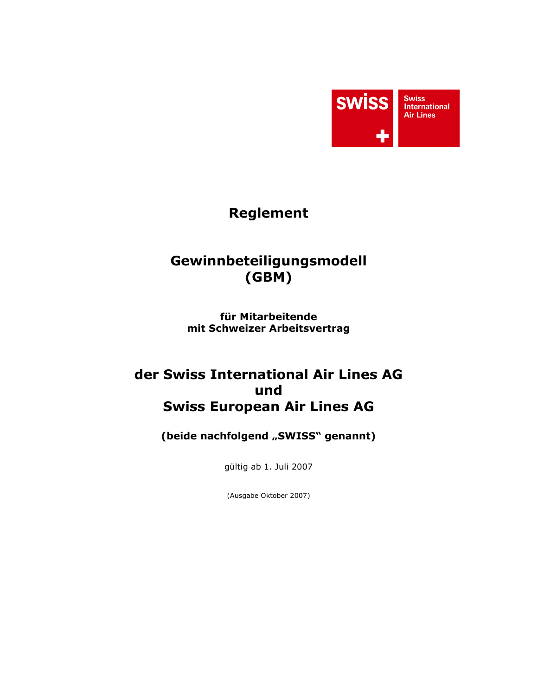

# **Reglement**

# Gewinnbeteiligungsmodell  $(GBM)$

für Mitarbeitende mit Schweizer Arbeitsvertrag

# der Swiss International Air Lines AG und **Swiss European Air Lines AG**

(beide nachfolgend "SWISS" genannt)

gültig ab 1. Juli 2007

(Ausgabe Oktober 2007)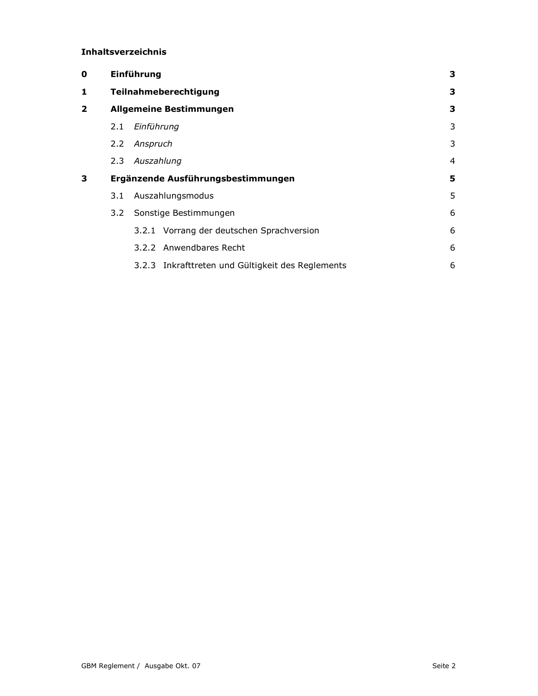### Inhaltsverzeichnis

| 0 | Einführung            |                                                   |   |  |  |  |
|---|-----------------------|---------------------------------------------------|---|--|--|--|
| 1 | Teilnahmeberechtigung |                                                   |   |  |  |  |
| 2 |                       | <b>Allgemeine Bestimmungen</b>                    | 3 |  |  |  |
|   | 2.1                   | Einführung                                        | 3 |  |  |  |
|   | $2.2^{\circ}$         | Anspruch                                          | 3 |  |  |  |
|   | $2.3 -$               | Auszahlung                                        | 4 |  |  |  |
| 3 |                       | Ergänzende Ausführungsbestimmungen                | 5 |  |  |  |
|   | 3.1                   | Auszahlungsmodus                                  | 5 |  |  |  |
|   | $3.2^{\circ}$         | Sonstige Bestimmungen                             | 6 |  |  |  |
|   |                       | 3.2.1 Vorrang der deutschen Sprachversion         | 6 |  |  |  |
|   |                       | 3.2.2 Anwendbares Recht                           | 6 |  |  |  |
|   |                       | 3.2.3 Inkrafttreten und Gültigkeit des Reglements | 6 |  |  |  |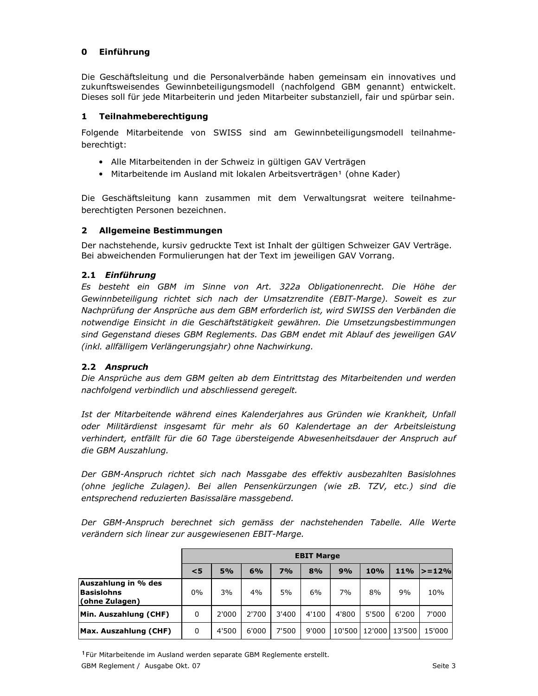# 0 Einführung

Die Geschäftsleitung und die Personalverbände haben gemeinsam ein innovatives und zukunftsweisendes Gewinnbeteiligungsmodell (nachfolgend GBM genannt) entwickelt. Dieses soll für jede Mitarbeiterin und jeden Mitarbeiter substanziell, fair und spürbar sein.

## 1 Teilnahmeberechtigung

Folgende Mitarbeitende von SWISS sind am Gewinnbeteiligungsmodell teilnahmeberechtigt:

- Alle Mitarbeitenden in der Schweiz in gültigen GAV Verträgen
- · Mitarbeitende im Ausland mit lokalen Arbeitsverträgen<sup>1</sup> (ohne Kader)

Die Geschäftsleitung kann zusammen mit dem Verwaltungsrat weitere teilnahmeberechtigten Personen bezeichnen.

## 2 Allgemeine Bestimmungen

Der nachstehende, kursiv gedruckte Text ist Inhalt der gültigen Schweizer GAV Verträge. Bei abweichenden Formulierungen hat der Text im jeweiligen GAV Vorrang.

## 2.1 Einführung

Es besteht ein GBM im Sinne von Art. 322a Obligationenrecht. Die Höhe der Gewinnbeteiligung richtet sich nach der Umsatzrendite (EBIT-Marge). Soweit es zur Nachprüfung der Ansprüche aus dem GBM erforderlich ist, wird SWISS den Verbänden die notwendige Einsicht in die Geschäftstätigkeit gewähren. Die Umsetzungsbestimmungen sind Gegenstand dieses GBM Reglements. Das GBM endet mit Ablauf des jeweiligen GAV (inkl. allfälligem Verlängerungsjahr) ohne Nachwirkung.

# 2.2 Anspruch

Die Ansprüche aus dem GBM gelten ab dem Eintrittstag des Mitarbeitenden und werden nachfolgend verbindlich und abschliessend geregelt.

Ist der Mitarbeitende während eines Kalenderjahres aus Gründen wie Krankheit, Unfall oder Militärdienst insgesamt für mehr als 60 Kalendertage an der Arbeitsleistung verhindert, entfällt für die 60 Tage übersteigende Abwesenheitsdauer der Anspruch auf die GBM Auszahlung.

Der GBM-Anspruch richtet sich nach Massgabe des effektiv ausbezahlten Basislohnes (ohne jegliche Zulagen). Bei allen Pensenkürzungen (wie zB. TZV, etc.) sind die entsprechend reduzierten Basissaläre massgebend.

Der GBM-Anspruch berechnet sich gemäss der nachstehenden Tabelle. Alle Werte verändern sich linear zur ausgewiesenen EBIT-Marge.

|                                                            | <b>EBIT Marge</b> |       |       |       |       |        |        |        |           |
|------------------------------------------------------------|-------------------|-------|-------|-------|-------|--------|--------|--------|-----------|
|                                                            | $\leq$ 5          | 5%    | 6%    | 7%    | 8%    | 9%     | 10%    | $11\%$ | $> = 12%$ |
| <b>Auszahlung in % des</b><br>Basislohns<br>(ohne Zulagen) | $0\%$             | 3%    | 4%    | 5%    | 6%    | 7%     | 8%     | 9%     | 10%       |
| Min. Auszahlung (CHF)                                      | 0                 | 2'000 | 2'700 | 3'400 | 4'100 | 4'800  | 5'500  | 6'200  | 7'000     |
| Max. Auszahlung (CHF)                                      | 0                 | 4'500 | 6'000 | 7'500 | 9'000 | 10'500 | 12'000 | 13'500 | 15'000    |

<sup>1</sup> Für Mitarbeitende im Ausland werden separate GBM Reglemente erstellt.

GBM Reglement / Ausgabe Okt. 07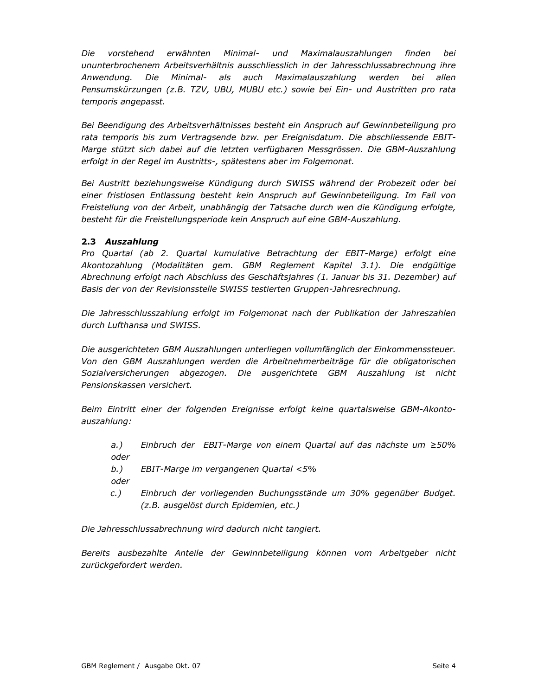Die vorstehend erwähnten Minimal- und Maximalauszahlungen finden bei ununterbrochenem Arbeitsverhältnis ausschliesslich in der Jahresschlussabrechnung ihre Anwendung. Die Minimal- als auch Maximalauszahlung werden bei allen Pensumskürzungen (z.B. TZV, UBU, MUBU etc.) sowie bei Ein- und Austritten pro rata temporis angepasst.

Bei Beendigung des Arbeitsverhältnisses besteht ein Anspruch auf Gewinnbeteiligung pro rata temporis bis zum Vertragsende bzw. per Ereignisdatum. Die abschliessende EBIT-Marge stützt sich dabei auf die letzten verfügbaren Messgrössen. Die GBM-Auszahlung erfolgt in der Regel im Austritts-, spätestens aber im Folgemonat.

Bei Austritt beziehungsweise Kündigung durch SWISS während der Probezeit oder bei einer fristlosen Entlassung besteht kein Anspruch auf Gewinnbeteiligung. Im Fall von Freistellung von der Arbeit, unabhängig der Tatsache durch wen die Kündigung erfolgte, besteht für die Freistellungsperiode kein Anspruch auf eine GBM-Auszahlung.

# 2.3 Auszahlung

Pro Quartal (ab 2. Quartal kumulative Betrachtung der EBIT-Marge) erfolgt eine Akontozahlung (Modalitäten gem. GBM Reglement Kapitel 3.1). Die endgültige Abrechnung erfolgt nach Abschluss des Geschäftsjahres (1. Januar bis 31. Dezember) auf Basis der von der Revisionsstelle SWISS testierten Gruppen-Jahresrechnung.

Die Jahresschlusszahlung erfolgt im Folgemonat nach der Publikation der Jahreszahlen durch Lufthansa und SWISS.

Die ausgerichteten GBM Auszahlungen unterliegen vollumfänglich der Einkommenssteuer. Von den GBM Auszahlungen werden die Arbeitnehmerbeiträge für die obligatorischen Sozialversicherungen abgezogen. Die ausgerichtete GBM Auszahlung ist nicht Pensionskassen versichert.

Beim Eintritt einer der folgenden Ereignisse erfolgt keine quartalsweise GBM-Akontoauszahlung:

 $a.$ ) Einbruch der EBIT-Marge von einem Quartal auf das nächste um ≥50% oder

EBIT-Marge im vergangenen Quartal <5%  $b.$ ) oder

 $c.$ ) Einbruch der vorliegenden Buchungsstände um 30% gegenüber Budget. (z.B. ausgelöst durch Epidemien, etc.)

Die Jahresschlussabrechnung wird dadurch nicht tangiert.

Bereits ausbezahlte Anteile der Gewinnbeteiligung können vom Arbeitgeber nicht zurückgefordert werden.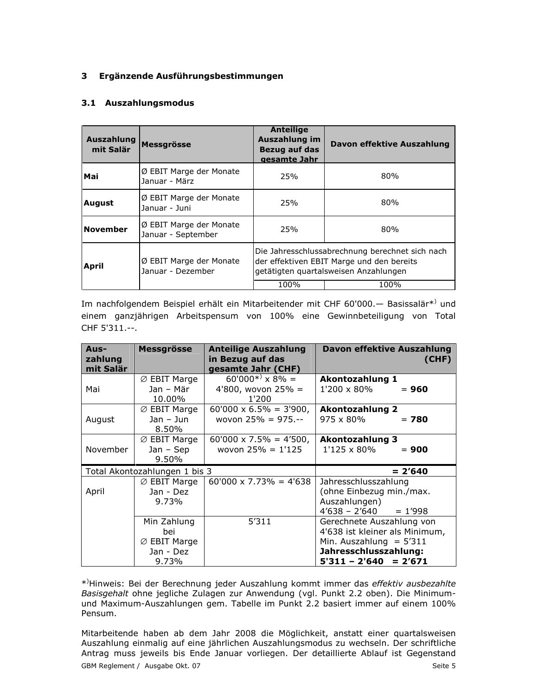## 3 Ergänzende Ausführungsbestimmungen

## 3.1 Auszahlungsmodus

| Auszahlung<br>mit Salär | Messgrösse                                    | <b>Anteilige</b><br>Auszahlung im<br>Bezug auf das<br>gesamte Jahr                                                                    | Davon effektive Auszahlung |  |  |
|-------------------------|-----------------------------------------------|---------------------------------------------------------------------------------------------------------------------------------------|----------------------------|--|--|
| Mai                     | Ø EBIT Marge der Monate<br>Januar - März      | 25%                                                                                                                                   | 80%                        |  |  |
| <b>August</b>           | Ø EBIT Marge der Monate<br>Januar - Juni      |                                                                                                                                       | 80%                        |  |  |
| <b>November</b>         | Ø EBIT Marge der Monate<br>Januar - September | 25%                                                                                                                                   | 80%                        |  |  |
| April                   | Ø EBIT Marge der Monate<br>Januar - Dezember  | Die Jahresschlussabrechnung berechnet sich nach<br>der effektiven EBIT Marge und den bereits<br>getätigten guartalsweisen Anzahlungen |                            |  |  |
|                         |                                               | 100%                                                                                                                                  | 100%                       |  |  |

Im nachfolgendem Beispiel erhält ein Mitarbeitender mit CHF 60'000. - Basissalär\*) und einem ganzjährigen Arbeitspensum von 100% eine Gewinnbeteiligung von Total CHF 5'311 .--

| Aus-<br>zahlung<br>mit Salär  | <b>Messgrösse</b>                                                    | <b>Anteilige Auszahlung</b><br>in Bezug auf das<br>gesamte Jahr (CHF) | <b>Davon effektive Auszahlung</b><br>(CHF)                                                                                                      |
|-------------------------------|----------------------------------------------------------------------|-----------------------------------------------------------------------|-------------------------------------------------------------------------------------------------------------------------------------------------|
| Mai                           | $\varnothing$ EBIT Marge<br>Jan - Mär<br>10.00%                      | $60'000^{*} \times 8\% =$<br>4'800, wovon $25% =$<br>1'200            | <b>Akontozahlung 1</b><br>1'200 x 80%<br>$= 960$                                                                                                |
| August                        | $\varnothing$ EBIT Marge<br>Jan - Jun<br>8.50%                       | $60'000 \times 6.5\% = 3'900,$<br>wovon $25% = 975. - -$              | <b>Akontozahlung 2</b><br>975 x 80%<br>$= 780$                                                                                                  |
| November                      | $\varnothing$ EBIT Marge<br>Jan - Sep<br>9.50%                       | $60'000 \times 7.5\% = 4'500,$<br>wovon $25% = 1'125$                 | <b>Akontozahlung 3</b><br>1'125 x 80%<br>$= 900$                                                                                                |
| Total Akontozahlungen 1 bis 3 |                                                                      |                                                                       | $= 2'640$                                                                                                                                       |
| April                         | $\varnothing$ EBIT Marge<br>Jan - Dez<br>9.73%                       | $60'000 \times 7.73\% = 4'638$                                        | Jahresschlusszahlung<br>(ohne Einbezug min./max.<br>Auszahlungen)<br>$4'638 - 2'640$<br>$= 1'998$                                               |
|                               | Min Zahlung<br>bei<br>$\varnothing$ EBIT Marge<br>Jan - Dez<br>9.73% | 5'311                                                                 | Gerechnete Auszahlung von<br>4'638 ist kleiner als Minimum,<br>Min. Auszahlung = $5'311$<br>Jahresschlusszahlung:<br>5'311 – 2'640<br>$= 2'671$ |

\*)Hinweis: Bei der Berechnung jeder Auszahlung kommt immer das effektiv ausbezahlte Basisgehalt ohne jegliche Zulagen zur Anwendung (vgl. Punkt 2.2 oben). Die Minimumund Maximum-Auszahlungen gem. Tabelle im Punkt 2.2 basiert immer auf einem 100% Pensum.

Mitarbeitende haben ab dem Jahr 2008 die Möglichkeit, anstatt einer guartalsweisen Auszahlung einmalig auf eine jährlichen Auszahlungsmodus zu wechseln. Der schriftliche Antrag muss jeweils bis Ende Januar vorliegen. Der detaillierte Ablauf ist Gegenstand GBM Reglement / Ausgabe Okt. 07 Seite 5